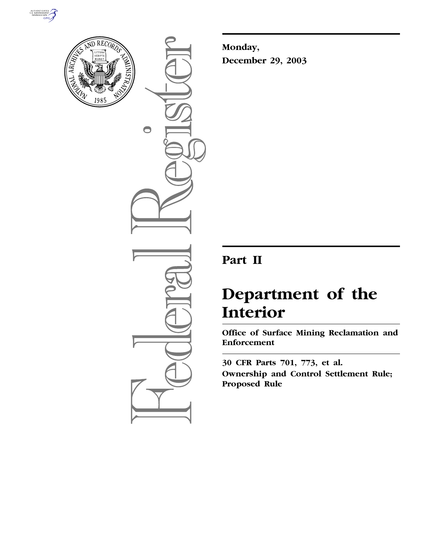



 $\bigcirc$ 

**Monday, December 29, 2003**

## **Part II**

# **Department of the Interior**

**Office of Surface Mining Reclamation and Enforcement** 

**30 CFR Parts 701, 773, et al. Ownership and Control Settlement Rule; Proposed Rule**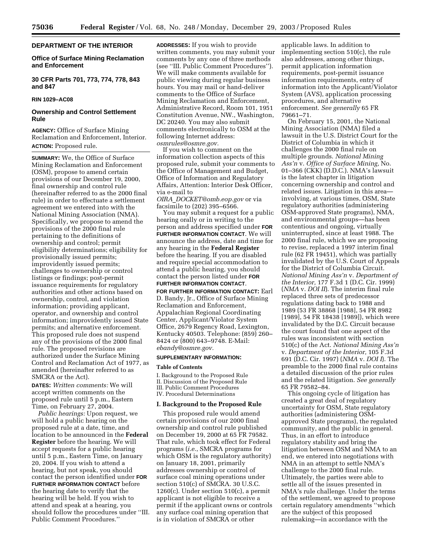## **DEPARTMENT OF THE INTERIOR**

## **Office of Surface Mining Reclamation and Enforcement**

**30 CFR Parts 701, 773, 774, 778, 843 and 847**

## **RIN 1029–AC08**

## **Ownership and Control Settlement Rule**

**AGENCY:** Office of Surface Mining Reclamation and Enforcement, Interior. **ACTION:** Proposed rule.

**SUMMARY:** We, the Office of Surface Mining Reclamation and Enforcement (OSM), propose to amend certain provisions of our December 19, 2000, final ownership and control rule (hereinafter referred to as the 2000 final rule) in order to effectuate a settlement agreement we entered into with the National Mining Association (NMA). Specifically, we propose to amend the provisions of the 2000 final rule pertaining to the definitions of ownership and control; permit eligibility determinations; eligibility for provisionally issued permits; improvidently issued permits; challenges to ownership or control listings or findings; post-permit issuance requirements for regulatory authorities and other actions based on ownership, control, and violation information; providing applicant, operator, and ownership and control information; improvidently issued State permits; and alternative enforcement. This proposed rule does not suspend any of the provisions of the 2000 final rule. The proposed revisions are authorized under the Surface Mining Control and Reclamation Act of 1977, as amended (hereinafter referred to as SMCRA or the Act).

**DATES:** *Written comments:* We will accept written comments on the proposed rule until 5 p.m., Eastern Time, on February 27, 2004.

*Public hearings:* Upon request, we will hold a public hearing on the proposed rule at a date, time, and location to be announced in the **Federal Register** before the hearing. We will accept requests for a public hearing until 5 p.m., Eastern Time, on January 20, 2004. If you wish to attend a hearing, but not speak, you should contact the person identified under **FOR FURTHER INFORMATION CONTACT** before the hearing date to verify that the hearing will be held. If you wish to attend and speak at a hearing, you should follow the procedures under ''III. Public Comment Procedures.''

**ADDRESSES:** If you wish to provide written comments, you may submit your comments by any one of three methods (see ''III. Public Comment Procedures''). We will make comments available for public viewing during regular business hours. You may mail or hand-deliver comments to the Office of Surface Mining Reclamation and Enforcement, Administrative Record, Room 101, 1951 Constitution Avenue, NW., Washington, DC 20240. You may also submit comments electronically to OSM at the following Internet address: *osmrules@osmre.gov.*

If you wish to comment on the information collection aspects of this proposed rule, submit your comments to the Office of Management and Budget, Office of Information and Regulatory Affairs, Attention: Interior Desk Officer, via e-mail to

*OIRA*\_*DOCKET@omb.eop.gov* or via facsimile to (202) 395–6566.

You may submit a request for a public hearing orally or in writing to the person and address specified under **FOR FURTHER INFORMATION CONTACT**. We will announce the address, date and time for any hearing in the **Federal Register** before the hearing. If you are disabled and require special accommodation to attend a public hearing, you should contact the person listed under **FOR FURTHER INFORMATION CONTACT**.

**FOR FURTHER INFORMATION CONTACT:** Earl D. Bandy, Jr., Office of Surface Mining Reclamation and Enforcement, Appalachian Regional Coordinating Center, Applicant/Violator System Office, 2679 Regency Road, Lexington, Kentucky 40503. Telephone: (859) 260– 8424 or (800) 643–9748. E-Mail: *ebandy@osmre.gov.*

#### **SUPPLEMENTARY INFORMATION:**

#### **Table of Contents**

I. Background to the Proposed Rule II. Discussion of the Proposed Rule III. Public Comment Procedures IV. Procedural Determinations

#### **I. Background to the Proposed Rule**

This proposed rule would amend certain provisions of our 2000 final ownership and control rule published on December 19, 2000 at 65 FR 79582. That rule, which took effect for Federal programs (*i.e.*, SMCRA programs for which OSM is the regulatory authority) on January 18, 2001, primarily addresses ownership or control of surface coal mining operations under section 510(c) of SMCRA. 30 U.S.C.  $1260(c)$ . Under section  $510(c)$ , a permit applicant is not eligible to receive a permit if the applicant owns or controls any surface coal mining operation that is in violation of SMCRA or other

applicable laws. In addition to implementing section 510(c), the rule also addresses, among other things, permit application information requirements, post-permit issuance information requirements, entry of information into the Applicant/Violator System (AVS), application processing procedures, and alternative enforcement. *See generally* 65 FR 79661–71.

On February 15, 2001, the National Mining Association (NMA) filed a lawsuit in the U.S. District Court for the District of Columbia in which it challenges the 2000 final rule on multiple grounds. *National Mining Ass'n* v. *Office of Surface Mining,* No. 01–366 (CKK) (D.D.C.). NMA's lawsuit is the latest chapter in litigation concerning ownership and control and related issues. Litigation in this area involving, at various times, OSM, State regulatory authorities (administering OSM-approved State programs), NMA, and environmental groups—has been contentious and ongoing, virtually uninterrupted, since at least 1988. The 2000 final rule, which we are proposing to revise, replaced a 1997 interim final rule (62 FR 19451), which was partially invalidated by the U.S. Court of Appeals for the District of Columbia Circuit. *National Mining Ass'n* v. *Department of the Interior,* 177 F.3d 1 (D.C. Cir. 1999) (*NMA* v. *DOI II*). The interim final rule replaced three sets of predecessor regulations dating back to 1988 and 1989 (53 FR 38868 [1988], 54 FR 8982 [1989], 54 FR 18438 [1989]), which were invalidated by the D.C. Circuit because the court found that one aspect of the rules was inconsistent with section 510(c) of the Act. *National Mining Ass'n* v. *Department of the Interior,* 105 F.3d 691 (D.C. Cir. 1997) (*NMA* v. *DOI I*). The preamble to the 2000 final rule contains a detailed discussion of the prior rules and the related litigation. *See generally* 65 FR 79582–84.

This ongoing cycle of litigation has created a great deal of regulatory uncertainty for OSM, State regulatory authorities (administering OSMapproved State programs), the regulated community, and the public in general. Thus, in an effort to introduce regulatory stability and bring the litigation between OSM and NMA to an end, we entered into negotiations with NMA in an attempt to settle NMA's challenge to the 2000 final rule. Ultimately, the parties were able to settle all of the issues presented in NMA's rule challenge. Under the terms of the settlement, we agreed to propose certain regulatory amendments ''which are the subject of this proposed rulemaking—in accordance with the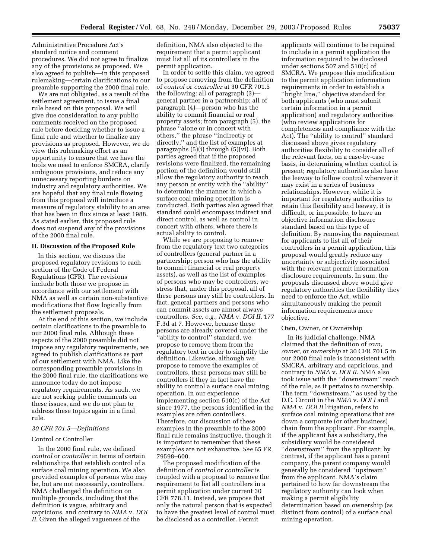Administrative Procedure Act's standard notice and comment procedures. We did not agree to finalize any of the provisions as proposed. We also agreed to publish—in this proposed rulemaking—certain clarifications to our preamble supporting the 2000 final rule.

We are not obligated, as a result of the settlement agreement, to issue a final rule based on this proposal. We will give due consideration to any public comments received on the proposed rule before deciding whether to issue a final rule and whether to finalize any provisions as proposed. However, we do view this rulemaking effort as an opportunity to ensure that we have the tools we need to enforce SMCRA, clarify ambiguous provisions, and reduce any unnecessary reporting burdens on industry and regulatory authorities. We are hopeful that any final rule flowing from this proposal will introduce a measure of regulatory stability to an area that has been in flux since at least 1988. As stated earlier, this proposed rule does not suspend any of the provisions of the 2000 final rule.

## **II. Discussion of the Proposed Rule**

In this section, we discuss the proposed regulatory revisions to each section of the Code of Federal Regulations (CFR). The revisions include both those we propose in accordance with our settlement with NMA as well as certain non-substantive modifications that flow logically from the settlement proposals.

At the end of this section, we include certain clarifications to the preamble to our 2000 final rule. Although these aspects of the 2000 preamble did not impose any regulatory requirements, we agreed to publish clarifications as part of our settlement with NMA. Like the corresponding preamble provisions in the 2000 final rule, the clarifications we announce today do not impose regulatory requirements. As such, we are not seeking public comments on these issues, and we do not plan to address these topics again in a final rule.

## *30 CFR 701.5—Definitions*

#### Control or Controller

In the 2000 final rule, we defined *control* or *controller* in terms of certain relationships that establish control of a surface coal mining operation. We also provided examples of persons who may be, but are not necessarily, controllers. NMA challenged the definition on multiple grounds, including that the definition is vague, arbitrary and capricious, and contrary to *NMA* v. *DOI II.* Given the alleged vagueness of the

definition, NMA also objected to the requirement that a permit applicant must list all of its controllers in the permit application.

In order to settle this claim, we agreed to propose removing from the definition of *control* or *controller* at 30 CFR 701.5 the following: all of paragraph (3) general partner in a partnership; all of paragraph (4)—person who has the ability to commit financial or real property assets; from paragraph (5), the phrase ''alone or in concert with others,'' the phrase ''indirectly or directly,'' and the list of examples at paragraphs (5)(i) through (5)(vi). Both parties agreed that if the proposed revisions were finalized, the remaining portion of the definition would still allow the regulatory authority to reach any person or entity with the ''ability'' to determine the manner in which a surface coal mining operation is conducted. Both parties also agreed that standard could encompass indirect and direct control, as well as control in concert with others, where there is actual ability to control.

While we are proposing to remove from the regulatory text two categories of controllers (general partner in a partnership; person who has the ability to commit financial or real property assets), as well as the list of examples of persons who may be controllers, we stress that, under this proposal, all of these persons may still be controllers. In fact, general partners and persons who can commit assets are almost always controllers. *See, e.g., NMA* v. *DOI II,* 177 F.3d at 7. However, because these persons are already covered under the "ability to control" standard, we propose to remove them from the regulatory text in order to simplify the definition. Likewise, although we propose to remove the examples of controllers, these persons may still be controllers if they in fact have the ability to control a surface coal mining operation. In our experience implementing section 510(c) of the Act since 1977, the persons identified in the examples are often controllers. Therefore, our discussion of these examples in the preamble to the 2000 final rule remains instructive, though it is important to remember that these examples are not exhaustive. *See* 65 FR 79598–600.

The proposed modification of the definition of *control* or *controller* is coupled with a proposal to remove the requirement to list all controllers in a permit application under current 30 CFR 778.11. Instead, we propose that only the natural person that is expected to have the greatest level of control must be disclosed as a controller. Permit

applicants will continue to be required to include in a permit application the information required to be disclosed under sections 507 and 510(c) of SMCRA. We propose this modification to the permit application information requirements in order to establish a ''bright line,'' objective standard for both applicants (who must submit certain information in a permit application) and regulatory authorities (who review applications for completeness and compliance with the Act). The ''ability to control'' standard discussed above gives regulatory authorities flexibility to consider all of the relevant facts, on a case-by-case basis, in determining whether control is present; regulatory authorities also have the leeway to follow control wherever it may exist in a series of business relationships. However, while it is important for regulatory authorities to retain this flexibility and leeway, it is difficult, or impossible, to have an objective information disclosure standard based on this type of definition. By removing the requirement for applicants to list all of their controllers in a permit application, this proposal would greatly reduce any uncertainty or subjectivity associated with the relevant permit information disclosure requirements. In sum, the proposals discussed above would give regulatory authorities the flexibility they need to enforce the Act, while simultaneously making the permit information requirements more objective.

#### Own, Owner, or Ownership

In its judicial challenge, NMA claimed that the definition of *own, owner,* or *ownership* at 30 CFR 701.5 in our 2000 final rule is inconsistent with SMCRA, arbitrary and capricious, and contrary to *NMA* v. *DOI II.* NMA also took issue with the ''downstream'' reach of the rule, as it pertains to ownership. The term ''downstream,'' as used by the D.C. Circuit in the *NMA* v. *DOI I* and *NMA* v. *DOI II* litigation, refers to surface coal mining operations that are down a corporate (or other business) chain from the applicant. For example, if the applicant has a subsidiary, the subsidiary would be considered ''downstream'' from the applicant; by contrast, if the applicant has a parent company, the parent company would generally be considered ''upstream'' from the applicant. NMA's claim pertained to how far downstream the regulatory authority can look when making a permit eligibility determination based on ownership (as distinct from control) of a surface coal mining operation.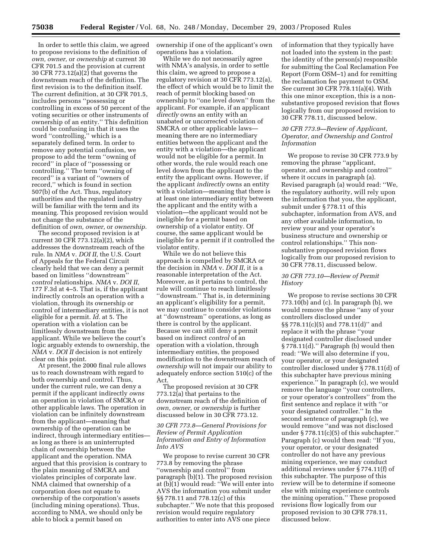In order to settle this claim, we agreed to propose revisions to the definition of *own, owner,* or *ownership* at current 30 CFR 701.5 and the provision at current 30 CFR 773.12(a)(2) that governs the downstream reach of the definition. The first revision is to the definition itself. The current definition, at 30 CFR 701.5, includes persons ''possessing or controlling in excess of 50 percent of the voting securities or other instruments of ownership of an entity.'' This definition could be confusing in that it uses the word ''controlling,'' which is a separately defined term. In order to remove any potential confusion, we propose to add the term ''owning of record'' in place of ''possessing or controlling.'' The term ''owning of record'' is a variant of ''owners of record,'' which is found in section 507(b) of the Act. Thus, regulatory authorities and the regulated industry will be familiar with the term and its meaning. This proposed revision would not change the substance of the definition of *own, owner,* or *ownership.*

The second proposed revision is at current 30 CFR 773.12(a)(2), which addresses the downstream reach of the rule. In *NMA* v. *DOI II,* the U.S. Court of Appeals for the Federal Circuit clearly held that we can deny a permit based on limitless ''downstream'' *control* relationships. *NMA* v. *DOI II,* 177 F.3d at 4–5. That is, if the applicant indirectly controls an operation with a violation, through its ownership or control of intermediary entities, it is not eligible for a permit. *Id.* at 5. The operation with a violation can be limitlessly downstream from the applicant. While we believe the court's logic arguably extends to ownership, the *NMA* v. *DOI II* decision is not entirely clear on this point.

At present, the 2000 final rule allows us to reach downstream with regard to both ownership and control. Thus, under the current rule, we can deny a permit if the applicant indirectly *owns* an operation in violation of SMCRA or other applicable laws. The operation in violation can be infinitely downstream from the applicant—meaning that ownership of the operation can be indirect, through intermediary entities as long as there is an uninterrupted chain of ownership between the applicant and the operation. NMA argued that this provision is contrary to the plain meaning of SMCRA and violates principles of corporate law. NMA claimed that ownership of a corporation does not equate to ownership of the corporation's assets (including mining operations). Thus, according to NMA, we should only be able to block a permit based on

ownership if one of the applicant's own operations has a violation.

While we do not necessarily agree with NMA's analysis, in order to settle this claim, we agreed to propose a regulatory revision at 30 CFR 773.12(a), the effect of which would be to limit the reach of permit blocking based on ownership to ''one level down'' from the applicant. For example, if an applicant *directly* owns an entity with an unabated or uncorrected violation of SMCRA or other applicable laws meaning there are no intermediary entities between the applicant and the entity with a violation—the applicant would not be eligible for a permit. In other words, the rule would reach one level down from the applicant to the entity the applicant owns. However, if the applicant *indirectly* owns an entity with a violation—meaning that there is at least one intermediary entity between the applicant and the entity with a violation—the applicant would not be ineligible for a permit based on ownership of a violator entity. Of course, the same applicant would be ineligible for a permit if it controlled the violator entity.

While we do not believe this approach is compelled by SMCRA or the decision in *NMA* v. *DOI II,* it is a reasonable interpretation of the Act. Moreover, as it pertains to control, the rule will continue to reach limitlessly ''downstream.'' That is, in determining an applicant's eligibility for a permit, we may continue to consider violations at ''downstream'' operations, as long as there is control by the applicant. Because we can still deny a permit based on indirect *control* of an operation with a violation, through intermediary entities, the proposed modification to the downstream reach of *ownership* will not impair our ability to adequately enforce section 510(c) of the Act.

The proposed revision at 30 CFR 773.12(a) that pertains to the downstream reach of the definition of *own, owner,* or *ownership* is further discussed below in 30 CFR 773.12.

## *30 CFR 773.8—General Provisions for Review of Permit Application Information and Entry of Information Into AVS*

We propose to revise current 30 CFR 773.8 by removing the phrase ''ownership and control'' from paragraph (b)(1). The proposed revision at (b)(1) would read: ''We will enter into AVS the information you submit under §§ 778.11 and 778.12(c) of this subchapter.'' We note that this proposed revision would require regulatory authorities to enter into AVS one piece

of information that they typically have not loaded into the system in the past: the identity of the person(s) responsible for submitting the Coal Reclamation Fee Report (Form OSM–1) and for remitting the reclamation fee payment to OSM. *See* current 30 CFR 778.11(a)(4). With this one minor exception, this is a nonsubstantive proposed revision that flows logically from our proposed revision to 30 CFR 778.11, discussed below.

## *30 CFR 773.9—Review of Applicant, Operator, and Ownership and Control Information*

We propose to revise 30 CFR 773.9 by removing the phrase ''applicant, operator, and ownership and control'' where it occurs in paragraph (a). Revised paragraph (a) would read: ''We, the regulatory authority, will rely upon the information that you, the applicant, submit under § 778.11 of this subchapter, information from AVS, and any other available information, to review your and your operator's business structure and ownership or control relationships.'' This nonsubstantive proposed revision flows logically from our proposed revision to 30 CFR 778.11, discussed below.

## *30 CFR 773.10—Review of Permit History*

We propose to revise sections 30 CFR 773.10(b) and (c). In paragraph (b), we would remove the phrase ''any of your controllers disclosed under §§ 778.11(c)(5) and 778.11(d)'' and replace it with the phrase ''your designated controller disclosed under § 778.11(d).'' Paragraph (b) would then read: ''We will also determine if you, your operator, or your designated controller disclosed under § 778.11(d) of this subchapter have previous mining experience.'' In paragraph (c), we would remove the language ''your controllers, or your operator's controllers'' from the first sentence and replace it with ''or your designated controller.'' In the second sentence of paragraph (c), we would remove ''and was not disclosed under § 778.11(c)(5) of this subchapter.'' Paragraph (c) would then read: ''If you, your operator, or your designated controller do not have any previous mining experience, we may conduct additional reviews under § 774.11(f) of this subchapter. The purpose of this review will be to determine if someone else with mining experience controls the mining operation.'' These proposed revisions flow logically from our proposed revision to 30 CFR 778.11, discussed below.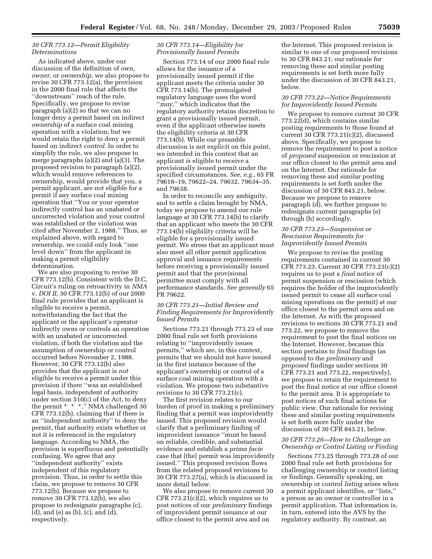## *30 CFR 773.12—Permit Eligibility Determinations*

As indicated above, under our discussion of the definition of *own, owner,* or *ownership,* we also propose to revise 30 CFR 773.12(a), the provision in the 2000 final rule that affects the ''downstream'' reach of the rule. Specifically, we propose to revise paragraph (a)(2) so that we can no longer deny a permit based on indirect *ownership* of a surface coal mining operation with a violation; but we would retain the right to deny a permit based on indirect *control.* In order to simplify the rule, we also propose to merge paragraphs (a)(2) and (a)(3). The proposed revision to paragraph (a)(2), which would remove references to ownership, would provide that you, a permit applicant, are not eligible for a permit if any surface coal mining operation that ''You or your operator indirectly control has an unabated or uncorrected violation and your control was established or the violation was cited after November 2, 1988.'' Thus, as explained above, with regard to ownership, we could only look ''one level down'' from the applicant in making a permit eligibility determination.

We are also proposing to revise 30 CFR 773.12(b). Consistent with the D.C. Circuit's ruling on retroactivity in *NMA* v. *DOI II,* 30 CFR 773.12(b) of our 2000 final rule provides that an applicant is eligible to receive a permit, notwithstanding the fact that the applicant or the applicant's operator indirectly owns or controls an operation with an unabated or uncorrected violation, if both the violation and the assumption of ownership or control occurred before November 2, 1988. However, 30 CFR 773.12(b) also provides that the applicant is *not* eligible to receive a permit under this provision if there ''was an established legal basis, independent of authority under section 510(c) of the Act, to deny the permit \* \* \*." NMA challenged 30 CFR 773.12(b), claiming that if there is an ''independent authority'' to deny the permit, that authority exists whether or not it is referenced in the regulatory language. According to NMA, the provision is superfluous and potentially confusing. We agree that any ''independent authority'' exists independent of this regulatory provision. Thus, in order to settle this claim, we propose to remove 30 CFR 773.12(b). Because we propose to remove 30 CFR 773.12(b), we also propose to redesignate paragraphs (c), (d), and (e) as (b), (c), and (d), respectively.

## *30 CFR 773.14—Eligibility for Provisionally Issued Permits*

Section 773.14 of our 2000 final rule allows for the issuance of a provisionally issued permit if the applicant meets the criteria under 30 CFR 773.14(b). The promulgated regulatory language uses the word ''*may,*'' which indicates that the regulatory authority retains discretion to grant a provisionally issued permit, even if the applicant otherwise meets the eligibility criteria at 30 CFR 773.14(b). While our preamble discussion is not explicit on this point, we intended in this context that an applicant *is* eligible to receive a provisionally issued permit under the specified circumstances. *See, e.g.*, 65 FR 79618–19, 79622–24, 79632, 79634–35, and 79638.

In order to reconcile any ambiguity, and to settle a claim brought by NMA, today we propose to amend our rule language at 30 CFR 773.14(b) to clarify that an applicant who meets the 30 CFR 773.14(b) eligibility criteria will be eligible for a provisionally issued permit. We stress that an applicant must also meet all other permit application approval and issuance requirements before receiving a provisionally issued permit and that the provisional permittee must comply with all performance standards. *See generally* 65 FR 79622.

## *30 CFR 773.21—Initial Review and Finding Requirements for Improvidently Issued Permits*

Sections 773.21 through 773.23 of our 2000 final rule set forth provisions relating to ''improvidently issues permits,'' which are, in this context, permits that we should not have issued in the first instance because of the applicant's ownership or control of a surface coal mining operation with a violation. We propose two substantive revisions to 30 CFR 773.21(c).

The first revision relates to our burden of proof in making a preliminary finding that a permit was improvidently issued. This proposed revision would clarify that a preliminary finding of improvident issuance ''must be based on reliable, credible, and substantial evidence and establish a *prima facie* case that [the] permit was improvidently issued.'' This proposed revision flows from the related proposed revisions to 30 CFR 773.27(a), which is discussed in more detail below.

We also propose to remove current 30 CFR 773.21(c)(2), which requires us to post notices of our *preliminary* findings of improvident permit issuance at our office closest to the permit area and on

the Internet. This proposed revision is similar to one of our proposed revisions to 30 CFR 843.21; our rationale for removing these and similar posting requirements is set forth more fully under the discussion of 30 CFR 843.21, below.

#### *30 CFR 773.22—Notice Requirements for Improvidently Issued Permits*

We propose to remove current 30 CFR 773.22(d), which contains similar posting requirements to those found at current 30 CFR 773.21(c)(2), discussed above. Specifically, we propose to remove the requirement to post a notice of *proposed* suspension or rescission at our office closest to the permit area and on the Internet. Our rationale for removing these and similar posting requirements is set forth under the discussion of 30 CFR 843.21, below. Because we propose to remove paragraph (d), we further propose to redesignate current paragraphs (e) through (h) accordingly.

## *30 CFR 773.23—Suspension or Rescission Requirements for Improvidently Issued Permits*

We propose to revise the posting requirements contained in current 30 CFR 773.23. Current 30 CFR 773.23(c)(2) requires us to post a *final* notice of permit suspension or rescission (which requires the holder of the improvidently issued permit to cease all surface coal mining operations on the permit) at our office closest to the permit area and on the Internet. As with the proposed revisions to sections 30 CFR 773.21 and 773.22, we propose to remove the requirement to post the final notices on the Internet. However, because this section pertains to *final* findings (as opposed to the *preliminary* and *proposed* findings under sections 30 CFR 773.21 and 773.22, respectively), we propose to retain the requirement to post the final notice at our office closest to the permit area. It is appropriate to post notices of such final actions for public view. Our rationale for revising these and similar posting requirements is set forth more fully under the discussion of 30 CFR 843.21, below.

## *30 CFR 773.26—How to Challenge an Ownership or Control Listing or Finding*

Sections 773.25 through 773.28 of our 2000 final rule set forth provisions for challenging ownership or control listing or findings. Generally speaking, an ownership or control *listing* arises when a permit applicant identifies, or ''lists,'' a person as an owner or controller in a permit application. That information is, in turn, entered into the AVS by the regulatory authority. By contrast, an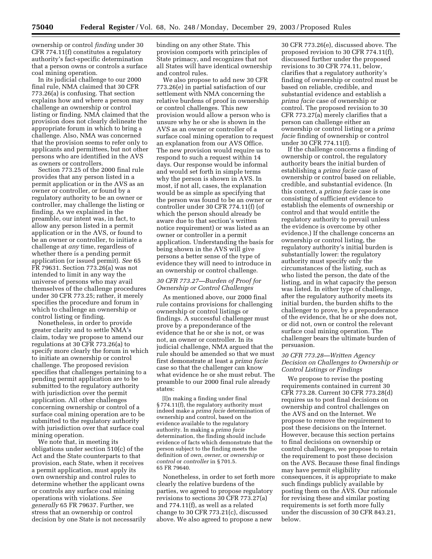ownership or control *finding* under 30 CFR 774.11(f) constitutes a regulatory authority's fact-specific determination that a person owns or controls a surface coal mining operation.

In its judicial challenge to our 2000 final rule, NMA claimed that 30 CFR 773.26(a) is confusing. That section explains how and where a person may challenge an ownership or control listing or finding. NMA claimed that the provision does not clearly delineate the appropriate forum in which to bring a challenge. Also, NMA was concerned that the provision seems to refer only to applicants and permittees, but not other persons who are identified in the AVS as owners or controllers.

Section 773.25 of the 2000 final rule provides that any person listed in a permit application or in the AVS as an owner or controller, or found by a regulatory authority to be an owner or controller, may challenge the listing or finding. As we explained in the preamble, our intent was, in fact, to allow any person listed in a permit application or in the AVS, or found to be an owner or controller, to initiate a challenge at *any* time, regardless of whether there is a pending permit application (or issued permit). *See* 65 FR 79631. Section 773.26(a) was not intended to limit in any way the universe of persons who may avail themselves of the challenge procedures under 30 CFR 773.25; rather, it merely specifies the procedure and forum in which to challenge an ownership or control listing or finding.

Nonetheless, in order to provide greater clarity and to settle NMA's claim, today we propose to amend our regulations at 30 CFR 773.26(a) to specify more clearly the forum in which to initiate an ownership or control challenge. The proposed revision specifies that challenges pertaining to a pending permit application are to be submitted to the regulatory authority with jurisdiction over the permit application. All other challenges concerning ownership or control of a surface coal mining operation are to be submitted to the regulatory authority with jurisdiction over that surface coal mining operation.

We note that, in meeting its obligations under section 510(c) of the Act and the State counterparts to that provision, each State, when it receives a permit application, must apply its own ownership and control rules to determine whether the applicant owns or controls any surface coal mining operations with violations. *See generally* 65 FR 79637. Further, we stress that an ownership or control decision by one State is not necessarily

binding on any other State. This provision comports with principles of State primacy, and recognizes that not all States will have identical ownership and control rules.

We also propose to add new 30 CFR 773.26(e) in partial satisfaction of our settlement with NMA concerning the relative burdens of proof in ownership or control challenges. This new provision would allow a person who is unsure why he or she is shown in the AVS as an owner or controller of a surface coal mining operation to request an explanation from our AVS Office. The new provision would require us to respond to such a request within 14 days. Our response would be informal and would set forth in simple terms why the person is shown in AVS. In most, if not all, cases, the explanation would be as simple as specifying that the person was found to be an owner or controller under 30 CFR 774.11(f) (of which the person should already be aware due to that section's written notice requirement) or was listed as an owner or controller in a permit application. Understanding the basis for being shown in the AVS will give persons a better sense of the type of evidence they will need to introduce in an ownership or control challenge.

#### *30 CFR 773.27—Burden of Proof for Ownership or Control Challenges*

As mentioned above, our 2000 final rule contains provisions for challenging ownership or control listings or findings. A successful challenger must prove by a preponderance of the evidence that he or she is not, or was not, an owner or controller. In its judicial challenge, NMA argued that the rule should be amended so that we must first demonstrate at least a *prima facie* case so that the challenger can know what evidence he or she must rebut. The preamble to our 2000 final rule already states:

[I]n making a finding under final § 774.11(f), the regulatory authority must indeed make a *prima facie* determination of ownership and control, based on the evidence available to the regulatory authority. In making a *prima facie* determination, the finding should include evidence of facts which demonstrate that the person subject to the finding meets the definition of *own*, *owner*, or *ownership* or *control* or *controller* in § 701.5. 65 FR 79640.

Nonetheless, in order to set forth more clearly the relative burdens of the parties, we agreed to propose regulatory revisions to sections 30 CFR 773.27(a) and 774.11(f), as well as a related change to 30 CFR 773.21(c), discussed above. We also agreed to propose a new

30 CFR 773.26(e), discussed above. The proposed revision to 30 CFR 774.11(f), discussed further under the proposed revisions to 30 CFR 774.11, below, clarifies that a regulatory authority's finding of ownership or control must be based on reliable, credible, and substantial evidence and establish a *prima facie* case of ownership or control. The proposed revision to 30 CFR 773.27(a) merely clarifies that a person can challenge either an ownership or control listing or a *prima facie* finding of ownership or control under 30 CFR 774.11(f).

If the challenge concerns a finding of ownership or control, the regulatory authority bears the initial burden of establishing a *prima facie* case of ownership or control based on reliable, credible, and substantial evidence. (In this context, a *prima facie* case is one consisting of sufficient evidence to establish the elements of ownership or control and that would entitle the regulatory authority to prevail unless the evidence is overcome by other evidence.) If the challenge concerns an ownership or control listing, the regulatory authority's initial burden is substantially lower: the regulatory authority must specify only the circumstances of the listing, such as who listed the person, the date of the listing, and in what capacity the person was listed. In either type of challenge, after the regulatory authority meets its initial burden, the burden shifts to the challenger to prove, by a preponderance of the evidence, that he or she does not, or did not, own or control the relevant surface coal mining operation. The challenger bears the ultimate burden of persuasion.

## *30 CFR 773.28—Written Agency Decision on Challenges to Ownership or Control Listings or Findings*

We propose to revise the posting requirements contained in current 30 CFR 773.28. Current 30 CFR 773.28(d) requires us to post final decisions on ownership and control challenges on the AVS and on the Internet. We propose to remove the requirement to post these decisions on the Internet. However, because this section pertains to final decisions on ownership or control challenges, we propose to retain the requirement to post these decision on the AVS. Because these final findings may have permit eligibility consequences, it is appropriate to make such findings publicly available by posting them on the AVS. Our rationale for revising these and similar posting requirements is set forth more fully under the discussion of 30 CFR 843.21, below.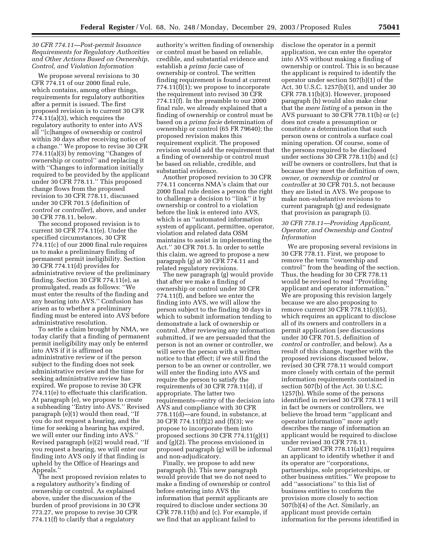## *30 CFR 774.11—Post-permit Issuance Requirements for Regulatory Authorities and Other Actions Based on Ownership, Control, and Violation Information*

We propose several revisions to 30 CFR 774.11 of our 2000 final rule, which contains, among other things, requirements for regulatory authorities after a permit is issued. The first proposed revision is to current 30 CFR 774.11(a)(3), which requires the regulatory authority to enter into AVS all ''[c]hanges of ownership or control within 30 days after receiving notice of a change.'' We propose to revise 30 CFR 774.11(a)(3) by removing ''Changes of ownership or control'' and replacing it with "Changes to information initially required to be provided by the applicant under 30 CFR 778.11.'' This proposed change flows from the proposed revision to 30 CFR 778.11, discussed under 30 CFR 701.5 (definition of *control* or *controller*), above, and under 30 CFR 778.11, below.

The second proposed revision is to current 30 CFR 774.11(e). Under the specified circumstances, 30 CFR 774.11(c) of our 2000 final rule requires us to make a preliminary finding of permanent permit ineligibility. Section 30 CFR 774.11(d) provides for administrative review of the preliminary finding. Section 30 CFR 774.11(e), as promulgated, reads as follows: ''We must enter the results of the finding and any hearing into AVS.'' Confusion has arisen as to whether a preliminary finding must be entered into AVS before administrative resolution.

To settle a claim brought by NMA, we today clarify that a finding of permanent permit ineligibility may only be entered into AVS if it is affirmed on administrative review or if the person subject to the finding does not seek administrative review and the time for seeking administrative review has expired. We propose to revise 30 CFR 774.11(e) to effectuate this clarification. At paragraph (e), we propose to create a subheading ''Entry into AVS.'' Revised paragraph (e)(1) would then read, ''If you do not request a hearing, and the time for seeking a hearing has expired, we will enter our finding into AVS.'' Revised paragraph (e)(2) would read, ''If you request a hearing, we will enter our finding into AVS only if that finding is upheld by the Office of Hearings and Appeals.''

The next proposed revision relates to a regulatory authority's finding of ownership or control. As explained above, under the discussion of the burden of proof provisions in 30 CFR 773.27, we propose to revise 30 CFR 774.11(f) to clarify that a regulatory

authority's written finding of ownership or control must be based on reliable, credible, and substantial evidence and establish a *prima facie* case of ownership or control. The written finding requirement is found at current 774.11(f)(1); we propose to incorporate the requirement into revised 30 CFR 774.11(f). In the preamble to our 2000 final rule, we already explained that a finding of ownership or control must be based on a *prima facie* determination of ownership or control (65 FR 79640); the proposed revision makes this requirement explicit. The proposed revision would add the requirement that a finding of ownership or control must be based on reliable, credible, and substantial evidence.

Another proposed revision to 30 CFR 774.11 concerns NMA's claim that our 2000 final rule denies a person the right to challenge a decision to ''link'' it by ownership or control to a violation before the link is entered into AVS, which is an ''automated information system of applicant, permittee, operator, violation and related data OSM maintains to assist in implementing the Act.'' 30 CFR 701.5. In order to settle this claim, we agreed to propose a new paragraph (g) at 30 CFR 774.11 and related regulatory revisions.

The new paragraph (g) would provide that after we make a finding of ownership or control under 30 CFR 774.11(f), and before we enter the finding into AVS, we will allow the person subject to the finding 30 days in which to submit information tending to demonstrate a lack of ownership or control. After reviewing any information submitted, if we are persuaded that the person is not an owner or controller, we will serve the person with a written notice to that effect; if we still find the person to be an owner or controller, we will enter the finding into AVS and require the person to satisfy the requirements of 30 CFR 778.11(d), if appropriate. The latter two requirements—entry of the decision into AVS and compliance with 30 CFR 778.11(d)—are found, in substance, at 30 CFR 774.11(f)(2) and (f)(3); we propose to incorporate them into proposed sections 30 CFR  $774.11(g)(1)$ and (g)(2). The process envisioned in proposed paragraph (g) will be informal and non-adjudicatory.

Finally, we propose to add new paragraph (h). This new paragraph would provide that we do not need to make a finding of ownership or control before entering into AVS the information that permit applicants are required to disclose under sections 30 CFR 778.11(b) and (c). For example, if we find that an applicant failed to

disclose the operator in a permit application, we can enter the operator into AVS without making a finding of ownership or control. This is so because the applicant is required to identify the operator under section 507(b)(1) of the Act, 30 U.S.C. 1257(b)(1), and under 30 CFR 778.11(b)(3). However, proposed paragraph (h) would also make clear that the *mere listing* of a person in the AVS pursuant to 30 CFR 778.11(b) or (c) does not create a presumption or constitute a determination that such person owns or controls a surface coal mining operation. Of course, some of the persons required to be disclosed under sections 30 CFR 778.11(b) and (c) *will* be owners or controllers, but that is because they meet the definition of *own, owner,* or *ownership* or *control* or *controller* at 30 CFR 701.5, not because they are listed in AVS. We propose to make non-substantive revisions to current paragraph (g) and redesignate that provision as paragraph (i).

## *30 CFR 778.11—Providing Applicant, Operator, and Ownership and Control Information*

We are proposing several revisions in 30 CFR 778.11. First, we propose to remove the term ''ownership and control'' from the heading of the section. Thus, the heading for 30 CFR 778.11 would be revised to read ''Providing applicant and operator information. We are proposing this revision largely because we are also proposing to remove current 30 CFR 778.11(c)(5), which requires an applicant to disclose all of its owners and controllers in a permit application (*see* discussions under 30 CFR 701.5, definition of *control* or *controller,* and below). As a result of this change, together with the proposed revisions discussed below, revised 30 CFR 778.11 would comport more closely with certain of the permit information requirements contained in section 507(b) of the Act. 30 U.S.C. 1257(b). While some of the persons identified in revised 30 CFR 778.11 will in fact be owners or controllers, we believe the broad term ''applicant and operator information'' more aptly describes the range of information an applicant would be required to disclose under revised 30 CFR 778.11.

Current 30 CFR 778.11(a)(1) requires an applicant to identify whether it and its operator are ''corporations, partnerships, sole proprietorships, or other business entities.'' We propose to add ''associations'' to this list of business entities to conform the provision more closely to section 507(b)(4) of the Act. Similarly, an applicant must provide certain information for the persons identified in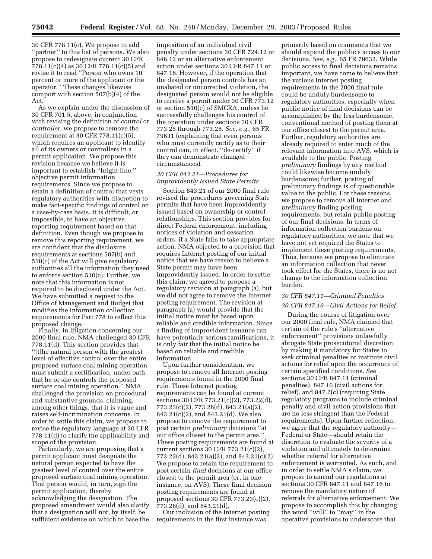30 CFR 778.11(c). We propose to add ''partner'' to this list of persons. We also propose to redesignate current 30 CFR 778.11(c)(4) as 30 CFR 778.11(c)(5) and revise it to read ''Person who owns 10 percent or more of the applicant or the operator.'' These changes likewise comport with section 507(b)(4) of the Act.

As we explain under the discussion of 30 CFR 701.5, above, in conjunction with revising the definition of *control* or *controller,* we propose to remove the requirement at 30 CFR 778.11(c)(5), which requires an applicant to identify all of its owners or controllers in a permit application. We propose this revision because we believe it is important to establish ''bright line,'' objective permit information requirements. Since we propose to retain a definition of control that vests regulatory authorities with discretion to make fact-specific findings of control on a case-by-case basis, it is difficult, or impossible, to have an objective reporting requirement based on that definition. Even though we propose to remove this reporting requirement, we are confident that the disclosure requirements at sections 507(b) and 510(c) of the Act will give regulatory authorities all the information they need to enforce section 510(c). Further, we note that this information is not required to be disclosed under the Act. We have submitted a request to the Office of Management and Budget that modifies the information collection requirements for Part 778 to reflect this proposed change.

Finally, in litigation concerning our 2000 final rule, NMA challenged 30 CFR 778.11(d). This section provides that ''[t]he natural person with the greatest level of effective control over the entire proposed surface coal mining operation must submit a certification, under oath, that he or she controls the proposed surface coal mining operation.'' NMA challenged the provision on procedural and substantive grounds, claiming, among other things, that it is vague and raises self-incrimination concerns. In order to settle this claim, we propose to revise the regulatory language at 30 CFR 778.11(d) to clarify the applicability and scope of the provision.

Particularly, we are proposing that a permit applicant must designate the natural person expected to have the greatest level of control over the entire proposed surface coal mining operation. That person would, in turn, sign the permit application, thereby acknowledging the designation. The proposed amendment would also clarify that a designation will not, by itself, be sufficient evidence on which to base the

imposition of an individual civil penalty under sections 30 CFR 724.12 or 846.12 or an alternative enforcement action under sections 30 CFR 847.11 or 847.16. However, if the operation that the designated person controls has an unabated or uncorrected violation, the designated person would not be eligible to receive a permit under 30 CFR 773.12 or section 510(c) of SMCRA, unless he successfully challenges his control of the operation under sections 30 CFR 773.25 through 773.28. *See, e.g.*, 65 FR 79631 (explaining that even persons who must currently certify as to their control can, in effect, ''de-certify'' if they can demonstrate changed circumstances).

## *30 CFR 843.21—Procedures for Improvidently Issued State Permits*

Section 843.21 of our 2000 final rule revised the procedures governing State permits that have been improvidently issued based on ownership or control relationships. This section provides for direct Federal enforcement, including notices of violation and cessation orders, if a State fails to take appropriate action. NMA objected to a provision that requires Internet posting of our initial notice that we have reason to believe a State permit may have been improvidently issued. In order to settle this claim, we agreed to propose a regulatory revision at paragraph (a), but we did not agree to remove the Internet posting requirement. The revision at paragraph (a) would provide that the initial notice must be based upon reliable and credible information. Since a finding of improvident issuance can have potentially serious ramifications, it is only fair that the initial notice be based on reliable and credible information.

Upon further consideration, we propose to remove all Internet posting requirements found in the 2000 final rule. These Internet posting requirements can be found at current sections 30 CFR 773.21(c)(2), 773.22(d), 773.23(c)(2), 773.28(d), 843.21(a)(2), 843.21(c)(2), and 843.21(d). We also propose to remove the requirement to post certain *preliminary* decisions ''at our office closest to the permit area.'' These posting requirements are found at current sections 30 CFR 773.21(c)(2), 773.22(d), 843.21(a)(2), and 843.21(c)(2). We propose to retain the requirement to post certain *final* decisions at our office closest to the permit area (or, in one instance, on AVS). These final decision posting requirements are found at proposed sections 30 CFR 773.23(c)(2), 773.28(d), and 843.21(d).

Our inclusion of the Internet posting requirements in the first instance was

primarily based on comments that we should expand the public's access to our decisions. *See, e.g.*, 65 FR 79632. While public access to final decisions remains important, we have come to believe that the various Internet posting requirements in the 2000 final rule could be unduly burdensome to regulatory authorities, especially when public notice of final decisions can be accomplished by the less burdensome, conventional method of posting them at our office closest to the permit area. Further, regulatory authorities are already required to enter much of the relevant information into AVS, which is available to the public. Posting *preliminary* findings by any method could likewise become unduly burdensome; further, posting of preliminary findings is of questionable value to the public. For these reasons, we propose to remove all Internet and *preliminary* finding posting requirements, but retain public posting of our final decisions. In terms of information collection burdens on regulatory authorities, we note that we have not yet required the States to implement these posting requirements. Thus, because we propose to eliminate an information collection that never took effect for the States, there is no net change to the information collection burden.

## *30 CFR 847.11—Criminal Penalties 30 CFR 847.16—Civil Actions for Relief*

During the course of litigation over our 2000 final rule, NMA claimed that certain of the rule's ''alternative enforcement'' provisions unlawfully abrogate State prosecutorial discretion by making it mandatory for States to seek criminal penalties or institute civil actions for relief upon the occurrence of certain specified conditions. *See* sections 30 CFR 847.11 (criminal penalties), 847.16 (civil actions for relief), and 847.2(c) (requiring State regulatory programs to include criminal penalty and civil action provisions that are no less stringent than the Federal requirements). Upon further reflection, we agree that the regulatory authority— Federal or State—should retain the discretion to evaluate the severity of a violation and ultimately to determine whether referral for alternative enforcement is warranted. As such, and in order to settle NMA's claim, we propose to amend our regulations at sections 30 CFR 847.11 and 847.16 to remove the mandatory nature of referrals for alternative enforcement. We propose to accomplish this by changing the word ''will'' to ''may'' in the operative provisions to underscore that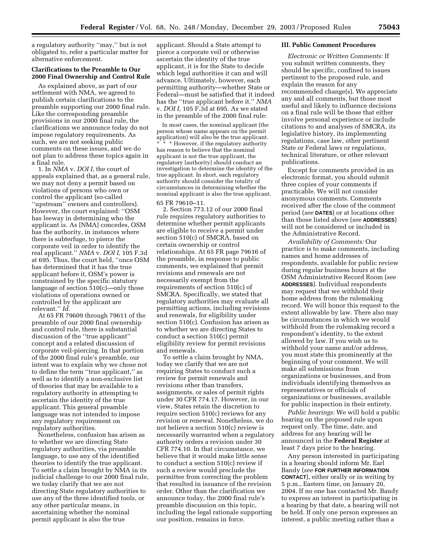a regulatory authority ''may,'' but is not obligated to, refer a particular matter for alternative enforcement.

## **Clarifications to the Preamble to Our 2000 Final Ownership and Control Rule**

As explained above, as part of our settlement with NMA, we agreed to publish certain clarifications to the preamble supporting our 2000 final rule. Like the corresponding preamble provisions in our 2000 final rule, the clarifications we announce today do not impose regulatory requirements. As such, we are not seeking public comments on these issues, and we do not plan to address these topics again in a final rule.

1. In *NMA* v. *DOI I,* the court of appeals explained that, as a general rule, we may not deny a permit based on violations of persons who own or control the applicant (so-called ''upstream'' owners and controllers). However, the court explained: ''OSM has leeway in determining who the applicant is. As [NMA] concedes, OSM has the authority, in instances where there is subterfuge, to pierce the corporate veil in order to identify the real applicant.'' *NMA* v. *DOI I,* 105 F.3d at 695. Thus, the court held, ''once OSM has determined that it has the true applicant before it, OSM's power is constrained by the specific statutory language of section 510(c)—only those violations of operations owned or controlled by the applicant are relevant.'' *Id.*

At 65 FR 79609 through 79611 of the preamble of our 2000 final ownership and control rule, there is substantial discussion of the ''true applicant'' concept and a related discussion of corporate veil-piercing. In that portion of the 2000 final rule's preamble, our intent was to explain why we chose not to define the term ''true applicant,'' as well as to identify a non-exclusive list of theories that may be available to a regulatory authority in attempting to ascertain the identity of the true applicant. This general preamble language was not intended to impose any regulatory requirement on regulatory authorities.

Nonetheless, confusion has arisen as to whether we are directing State regulatory authorities, via preamble language, to use any of the identified theories to identify the true applicant. To settle a claim brought by NMA in its judicial challenge to our 2000 final rule, we today clarify that we are not directing State regulatory authorities to use any of the three identified tools, or any other particular means, in ascertaining whether the nominal permit applicant is also the true

applicant. Should a State attempt to pierce a corporate veil or otherwise ascertain the identity of the true applicant, it is for the State to decide which legal authorities it can and will advance. Ultimately, however, each permitting authority—whether State or Federal—must be satisfied that it indeed has the ''true applicant before it.'' *NMA* v. *DOI I,* 105 F.3d at 695. As we stated in the preamble of the 2000 final rule:

In most cases, the nominal applicant (the person whose name appears on the permit application) will also be the true applicant. \* \* However, if the regulatory authority has reason to believe that the nominal applicant is not the true applicant, the regulatory [authority] should conduct an investigation to determine the identity of the true applicant. In short, each regulatory authority should consider the totality of circumstances in determining whether the nominal applicant is also the true applicant. 65 FR 79610–11.

2. Section 773.12 of our 2000 final rule requires regulatory authorities to determine whether permit applicants are eligible to receive a permit under section 510(c) of SMCRA, based on certain ownership or control relationships. At 65 FR page 79616 of the preamble, in response to public comments, we explained that permit revisions and renewals are not necessarily exempt from the requirements of section 510(c) of SMCRA. Specifically, we stated that regulatory authorities may evaluate all permitting actions, including revisions and renewals, for eligibility under section 510(c). Confusion has arisen as to whether we are directing States to conduct a section 510(c) permit eligibility review for permit revisions and renewals.

To settle a claim brought by NMA, today we clarify that we are not requiring States to conduct such a review for permit renewals and revisions other than transfers, assignments, or sales of permit rights under 30 CFR 774.17. However, in our view, States retain the discretion to require section 510(c) reviews for any revision or renewal. Nonetheless, we do not believe a section 510(c) review is necessarily warranted when a regulatory authority orders a revision under 30 CFR 774.10. In that circumstance, we believe that it would make little sense to conduct a section 510(c) review if such a review would preclude the permittee from correcting the problem that resulted in issuance of the revision order. Other than the clarification we announce today, the 2000 final rule's preamble discussion on this topic, including the legal rationale supporting our position, remains in force.

#### **III. Public Comment Procedures**

*Electronic or Written Comments:* If you submit written comments, they should be specific, confined to issues pertinent to the proposed rule, and explain the reason for any recommended change(s). We appreciate any and all comments, but those most useful and likely to influence decisions on a final rule will be those that either involve personal experience or include citations to and analyses of SMCRA, its legislative history, its implementing regulations, case law, other pertinent State or Federal laws or regulations, technical literature, or other relevant publications.

Except for comments provided in an electronic format, you should submit three copies of your comments if practicable. We will not consider anonymous comments. Comments received after the close of the comment period (*see* **DATES**) or at locations other than those listed above (*see* **ADDRESSES**) will not be considered or included in the Administrative Record.

*Availability of Comments:* Our practice is to make comments, including names and home addresses of respondents, available for public review during regular business hours at the OSM Administrative Record Room (*see* **ADDRESSES**). Individual respondents may request that we withhold their home address from the rulemaking record. We will honor this request to the extent allowable by law. There also may be circumstances in which we would withhold from the rulemaking record a respondent's identity, to the extent allowed by law. If you wish us to withhold your name and/or address, you must state this prominently at the beginning of your comment. We will make all submissions from organizations or businesses, and from individuals identifying themselves as representatives or officials of organizations or businesses, available for public inspection in their entirety.

*Public hearings:* We will hold a public hearing on the proposed rule upon request only. The time, date, and address for any hearing will be announced in the **Federal Register** at least 7 days prior to the hearing.

Any person interested in participating in a hearing should inform Mr. Earl Bandy (*see* **FOR FURTHER INFORMATION CONTACT**), either orally or in writing by 5 p.m., Eastern time, on January 20, 2004. If no one has contacted Mr. Bandy to express an interest in participating in a hearing by that date, a hearing will not be held. If only one person expresses an interest, a public meeting rather than a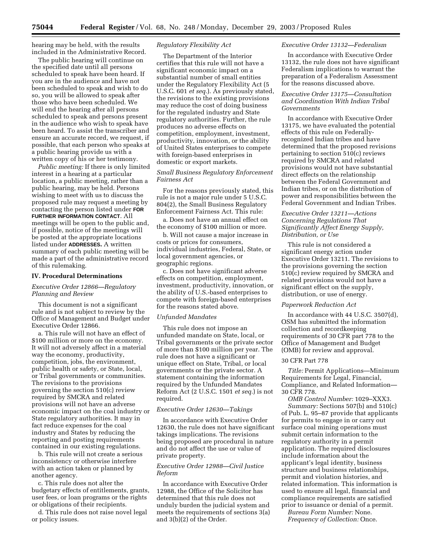hearing may be held, with the results included in the Administrative Record.

The public hearing will continue on the specified date until all persons scheduled to speak have been heard. If you are in the audience and have not been scheduled to speak and wish to do so, you will be allowed to speak after those who have been scheduled. We will end the hearing after all persons scheduled to speak and persons present in the audience who wish to speak have been heard. To assist the transcriber and ensure an accurate record, we request, if possible, that each person who speaks at a public hearing provide us with a written copy of his or her testimony.

*Public meeting:* If there is only limited interest in a hearing at a particular location, a public meeting, rather than a public hearing, may be held. Persons wishing to meet with us to discuss the proposed rule may request a meeting by contacting the person listed under **FOR FURTHER INFORMATION CONTACT**. All meetings will be open to the public and, if possible, notice of the meetings will be posted at the appropriate locations listed under **ADDRESSES.** A written summary of each public meeting will be made a part of the administrative record of this rulemaking.

#### **IV. Procedural Determinations**

## *Executive Order 12866—Regulatory Planning and Review*

This document is not a significant rule and is not subject to review by the Office of Management and Budget under Executive Order 12866.

a. This rule will not have an effect of \$100 million or more on the economy. It will not adversely affect in a material way the economy, productivity, competition, jobs, the environment, public health or safety, or State, local, or Tribal governments or communities. The revisions to the provisions governing the section 510(c) review required by SMCRA and related provisions will not have an adverse economic impact on the coal industry or State regulatory authorities. It may in fact reduce expenses for the coal industry and States by reducing the reporting and posting requirements contained in our existing regulations.

b. This rule will not create a serious inconsistency or otherwise interfere with an action taken or planned by another agency.

c. This rule does not alter the budgetary effects of entitlements, grants, user fees, or loan programs or the rights or obligations of their recipients.

d. This rule does not raise novel legal or policy issues.

## *Regulatory Flexibility Act*

The Department of the Interior certifies that this rule will not have a significant economic impact on a substantial number of small entities under the Regulatory Flexibility Act (5 U.S.C. 601 *et seq.*). As previously stated, the revisions to the existing provisions may reduce the cost of doing business for the regulated industry and State regulatory authorities. Further, the rule produces no adverse effects on competition, employment, investment, productivity, innovation, or the ability of United States enterprises to compete with foreign-based enterprises in domestic or export markets.

#### *Small Business Regulatory Enforcement Fairness Act*

For the reasons previously stated, this rule is not a major rule under 5 U.S.C. 804(2), the Small Business Regulatory Enforcement Fairness Act. This rule:

a. Does not have an annual effect on the economy of \$100 million or more.

b. Will not cause a major increase in costs or prices for consumers, individual industries, Federal, State, or local government agencies, or geographic regions.

c. Does not have significant adverse effects on competition, employment, investment, productivity, innovation, or the ability of U.S.-based enterprises to compete with foreign-based enterprises for the reasons stated above.

#### *Unfunded Mandates*

This rule does not impose an unfunded mandate on State, local, or Tribal governments or the private sector of more than \$100 million per year. The rule does not have a significant or unique effect on State, Tribal, or local governments or the private sector. A statement containing the information required by the Unfunded Mandates Reform Act (2 U.S.C. 1501 *et seq.*) is not required.

#### *Executive Order 12630—Takings*

In accordance with Executive Order 12630, the rule does not have significant takings implications. The revisions being proposed are procedural in nature and do not affect the use or value of private property.

## *Executive Order 12988—Civil Justice Reform*

In accordance with Executive Order 12988, the Office of the Solicitor has determined that this rule does not unduly burden the judicial system and meets the requirements of sections 3(a) and 3(b)(2) of the Order.

## *Executive Order 13132—Federalism*

In accordance with Executive Order 13132, the rule does not have significant Federalism implications to warrant the preparation of a Federalism Assessment for the reasons discussed above.

## *Executive Order 13175—Consultation and Coordination With Indian Tribal Governments*

In accordance with Executive Order 13175, we have evaluated the potential effects of this rule on Federallyrecognized Indian tribes and have determined that the proposed revisions pertaining to section 510(c) reviews required by SMCRA and related provisions would not have substantial direct effects on the relationship between the Federal Government and Indian tribes, or on the distribution of power and responsibilities between the Federal Government and Indian Tribes.

## *Executive Order 13211—Actions Concerning Regulations That Significantly Affect Energy Supply, Distribution, or Use*

This rule is not considered a significant energy action under Executive Order 13211. The revisions to the provisions governing the section 510(c) review required by SMCRA and related provisions would not have a significant effect on the supply, distribution, or use of energy.

#### *Paperwork Reduction Act*

In accordance with 44 U.S.C. 3507(d), OSM has submitted the information collection and recordkeeping requirements of 30 CFR part 778 to the Office of Management and Budget (OMB) for review and approval.

#### 30 CFR Part 778

*Title:* Permit Applications—Minimum Requirements for Legal, Financial, Compliance, and Related Information— 30 CFR 778.

*OMB Control Number:* 1029–XXX3. *Summary:* Sections 507(b) and 510(c) of Pub. L. 95–87 provide that applicants for permits to engage in or carry out surface coal mining operations must submit certain information to the regulatory authority in a permit application. The required disclosures include information about the applicant's legal identity, business structure and business relationships, permit and violation histories, and related information. This information is used to ensure all legal, financial and compliance requirements are satisfied prior to issuance or denial of a permit.

*Bureau Form Number:* None. *Frequency of Collection:* Once.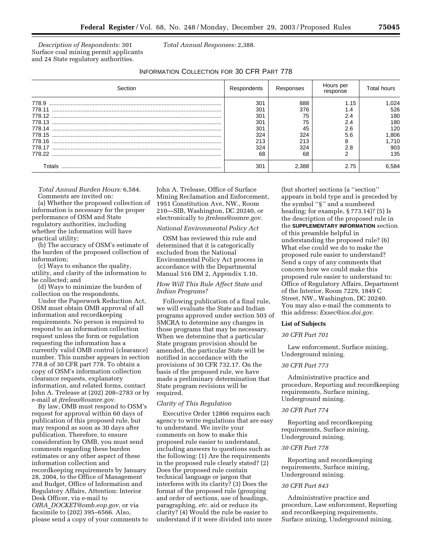*Description of Respondents:* 301 Surface coal mining permit applicants and 24 State regulatory authorities.

*Total Annual Responses:* 2,388.

## INFORMATION COLLECTION FOR 30 CFR PART 778

| Section | Respondents | Responses | Hours per<br>response | <b>Total hours</b> |
|---------|-------------|-----------|-----------------------|--------------------|
| 778.9   | 301         | 888       | 1.15                  | .024               |
| 778.11  | 301         | 376       | 1.4                   | 526                |
|         | 301         | 75        | 2.4                   | 180                |
| 778.13  | 301         | 75        | 2.4                   | 180                |
|         | 301         | 45        | 2.6                   | 120                |
| 778.15  | 324         | 324       | 5.6                   | 806,               |
|         | 213         | 213       | 8                     | 1.710              |
| 778.17  | 324         | 324       | 2.8                   | 903                |
| 778.22  | 68          | 68        |                       | 135                |
| Totals  | 301         | 2.388     | 2.75                  | 6.584              |

*Total Annual Burden Hours:* 6,584. Comments are invited on:

(a) Whether the proposed collection of information is necessary for the proper performance of OSM and State regulatory authorities, including whether the information will have practical utility;

(b) The accuracy of OSM's estimate of the burden of the proposed collection of information;

(c) Ways to enhance the quality, utility, and clarity of the information to be collected; and

(d) Ways to minimize the burden of collection on the respondents.

Under the Paperwork Reduction Act, OSM must obtain OMB approval of all information and recordkeeping requirements. No person is required to respond to an information collection request unless the form or regulation requesting the information has a currently valid OMB control (clearance) number. This number appears in section 778.8 of 30 CFR part 778. To obtain a copy of OSM's information collection clearance requests, explanatory information, and related forms, contact John A. Trelease at (202) 208–2783 or by e-mail at *jtreleas@osmre.gov.*

By law, OMB must respond to OSM's request for approval within 60 days of publication of this proposed rule, but may respond as soon as 30 days after publication. Therefore, to ensure consideration by OMB, you must send comments regarding these burden estimates or any other aspect of these information collection and recordkeeping requirements by January 28, 2004, to the Office of Management and Budget, Office of Information and Regulatory Affairs, Attention: Interior Desk Officer, via e-mail to *OIRA*\_*DOCKET@omb.eop.gov,* or via facsimile to (202) 395–6566. Also,

please send a copy of your comments to

John A. Trelease, Office of Surface Mining Reclamation and Enforcement, 1951 Constitution Ave, NW., Room 210—SIB, Washington, DC 20240, or electronically to *jtreleas@osmre.gov.*

#### *National Environmental Policy Act*

OSM has reviewed this rule and determined that it is categorically excluded from the National Environmental Policy Act process in accordance with the Departmental Manual 516 DM 2, Appendix 1.10.

## *How Will This Rule Affect State and Indian Programs?*

Following publication of a final rule, we will evaluate the State and Indian programs approved under section 503 of SMCRA to determine any changes in those programs that may be necessary. When we determine that a particular State program provision should be amended, the particular State will be notified in accordance with the provisions of 30 CFR 732.17. On the basis of the proposed rule, we have made a preliminary determination that State program revisions will be required.

## *Clarity of This Regulation*

Executive Order 12866 requires each agency to write regulations that are easy to understand. We invite your comments on how to make this proposed rule easier to understand, including answers to questions such as the following: (1) Are the requirements in the proposed rule clearly stated? (2) Does the proposed rule contain technical language or jargon that interferes with its clarity? (3) Does the format of the proposed rule (grouping and order of sections, use of headings, paragraphing, *etc.* aid or reduce its clarity? (4) Would the rule be easier to understand if it were divided into more

(but shorter) sections (a ''section'' appears in bold type and is preceded by the symbol ''§'' and a numbered heading; for example, § 773.14)? (5) Is the description of the proposed rule in the **SUPPLEMENTARY INFORMATION** section of this preamble helpful in understanding the proposed rule? (6) What else could we do to make the proposed rule easier to understand? Send a copy of any comments that concern how we could make this proposed rule easier to understand to: Office of Regulatory Affairs, Department of the Interior, Room 7229, 1849 C Street, NW., Washington, DC 20240. You may also e-mail the comments to this address: *Exsec@ios.doi.gov.*

#### **List of Subjects**

#### *30 CFR Part 701*

Law enforcement, Surface mining, Underground mining.

## *30 CFR Part 773*

Administrative practice and procedure, Reporting and recordkeeping requirements, Surface mining, Underground mining.

## *30 CFR Part 774*

Reporting and recordkeeping requirements, Surface mining, Underground mining.

#### *30 CFR Part 778*

Reporting and recordkeeping requirements, Surface mining, Underground mining.

#### *30 CFR Part 843*

Administrative practice and procedure, Law enforcement, Reporting and recordkeeping requirements, Surface mining, Underground mining.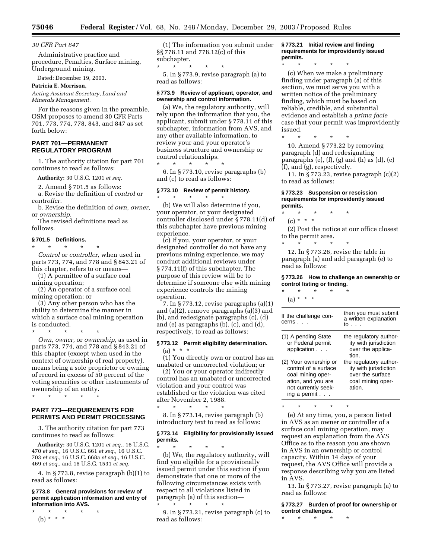#### *30 CFR Part 847*

Administrative practice and procedure, Penalties, Surface mining, Underground mining.

Dated: December 19, 2003.

#### **Patricia E. Morrison,**

*Acting Assistant Secretary, Land and Minerals Management.*

For the reasons given in the preamble, OSM proposes to amend 30 CFR Parts 701, 773, 774, 778, 843, and 847 as set forth below:

## **PART 701—PERMANENT REGULATORY PROGRAM**

1. The authority citation for part 701 continues to read as follows:

**Authority:** 30 U.S.C. 1201 *et seq.*

2. Amend § 701.5 as follows:

a. Revise the definition of *control* or

*controller.* b. Revise the definition of *own, owner,* or *ownership.*

The revised definitions read as follows.

#### **§ 701.5 Definitions.**

\* \* \* \* \* *Control* or *controller,* when used in parts 773, 774, and 778 and § 843.21 of this chapter, refers to or means—

- (1) A permittee of a surface coal mining operation;
- (2) An operator of a surface coal mining operation; or

(3) Any other person who has the ability to determine the manner in which a surface coal mining operation is conducted.

\* \* \* \* \*

*Own, owner,* or *ownership,* as used in parts 773, 774, and 778 and § 843.21 of this chapter (except when used in the context of ownership of real property), means being a sole proprietor or owning of record in excess of 50 percent of the voting securities or other instruments of ownership of an entity.

\* \* \* \* \*

## **PART 773—REQUIREMENTS FOR PERMITS AND PERMIT PROCESSING**

3. The authority citation for part 773 continues to read as follows:

**Authority:** 30 U.S.C. 1201 *et seq.,* 16 U.S.C. *et seq.,* 16 U.S.C. 661 *et seq.,* 16 U.S.C. *et seq.,* 16 U.S.C. 668a *et seq.,* 16 U.S.C. *et seq.,* and 16 U.S.C. 1531 *et seq.*

4. In § 773.8, revise paragraph (b)(1) to read as follows:

#### **§ 773.8 General provisions for review of permit application information and entry of information into AVS.**

\* \* \* \* \* (b) \* \* \*

(1) The information you submit under §§ 778.11 and 778.12(c) of this subchapter.

 $\star$ 

5. In § 773.9, revise paragraph (a) to read as follows:

#### **§ 773.9 Review of applicant, operator, and ownership and control information.**

(a) We, the regulatory authority, will rely upon the information that you, the applicant, submit under § 778.11 of this subchapter, information from AVS, and any other available information, to review your and your operator's business structure and ownership or control relationships.

\* \* \* \* \* 6. In § 773.10, revise paragraphs (b) and (c) to read as follows:

## **§ 773.10 Review of permit history.**

\* \* \* \* \* (b) We will also determine if you, your operator, or your designated controller disclosed under § 778.11(d) of this subchapter have previous mining experience.

(c) If you, your operator, or your designated controller do not have any previous mining experience, we may conduct additional reviews under § 774.11(f) of this subchapter. The purpose of this review will be to determine if someone else with mining experience controls the mining operation.

7. In § 773.12, revise paragraphs (a)(1) and (a)(2), remove paragraphs (a)(3) and (b), and redesignate paragraphs (c), (d) and (e) as paragraphs (b), (c), and (d), respectively, to read as follows:

## **§ 773.12 Permit eligibility determination.**   $(a) * * * *$

(1) You directly own or control has an unabated or uncorrected violation; or

(2) You or your operator indirectly control has an unabated or uncorrected violation and your control was established or the violation was cited after November 2, 1988. \* \* \* \* \*

8. In § 773.14, revise paragraph (b) introductory text to read as follows:

#### **§ 773.14 Eligibility for provisionally issued permits.**

\* \* \* \* \* (b) We, the regulatory authority, will find you eligible for a provisionally issued permit under this section if you demonstrate that one or more of the following circumstances exists with respect to all violations listed in paragraph (a) of this section—

\* \* \* \* \* 9. In § 773.21, revise paragraph (c) to read as follows:

**§ 773.21 Initial review and finding requirements for improvidently issued permits.**

\* \* \* \* \* (c) When we make a preliminary finding under paragraph (a) of this section, we must serve you with a written notice of the preliminary finding, which must be based on reliable, credible, and substantial evidence and establish a *prima facie* case that your permit was improvidently issued.

\* \* \* \* \* 10. Amend § 773.22 by removing paragraph (d) and redesignating

paragraphs  $(e)$ ,  $(f)$ ,  $(g)$  and  $(h)$  as  $(d)$ ,  $(e)$ (f), and (g), respectively.

11. In § 773.23, revise paragraph (c)(2) to read as follows:

#### **§ 773.23 Suspension or rescission requirements for improvidently issued permits.**

\* \* \* \* \* (c) \* \* \*

(2) Post the notice at our office closest to the permit area.

\* \* \* \* \*

12. In § 773.26, revise the table in paragraph (a) and add paragraph (e) to read as follows:

#### **§ 773.26 How to challenge an ownership or control listing or finding.** \* \* \* \* \*

 $(a) * * * *$ 

| If the challenge con-<br>cerns...                                                                                               | then you must submit<br>a written explanation<br>to                                                |
|---------------------------------------------------------------------------------------------------------------------------------|----------------------------------------------------------------------------------------------------|
| (1) A pending State<br>or Federal permit<br>application                                                                         | the regulatory author-<br>ity with jurisdiction<br>over the applica-<br>tion.                      |
| (2) Your ownership or<br>control of a surface<br>coal mining oper-<br>ation, and you are<br>not currently seek-<br>ing a permit | the regulatory author-<br>ity with jurisdiction<br>over the surface<br>coal mining oper-<br>ation. |

\* \* \* \* \*

(e) At any time, you, a person listed in AVS as an owner or controller of a surface coal mining operation, may request an explanation from the AVS Office as to the reason you are shown in AVS in an ownership or control capacity. Within 14 days of your request, the AVS Office will provide a response describing why you are listed in AVS.

13. In § 773.27, revise paragraph (a) to read as follows:

**§ 773.27 Burden of proof for ownership or control challenges.**

\* \* \* \* \*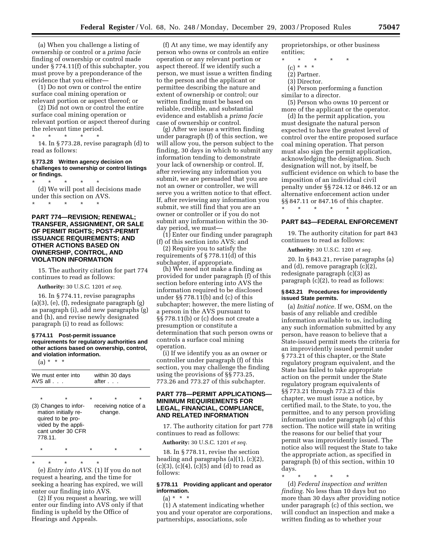(a) When you challenge a listing of ownership or control or a *prima facie* finding of ownership or control made under § 774.11(f) of this subchapter, you must prove by a preponderance of the evidence that you either—

(1) Do not own or control the entire surface coal mining operation or relevant portion or aspect thereof; or

(2) Did not own or control the entire surface coal mining operation or relevant portion or aspect thereof during the relevant time period.

\* \* \* \* \* 14. In § 773.28, revise paragraph (d) to read as follows:

#### **§ 773.28 Written agency decision on challenges to ownership or control listings or findings.**

\* \* \* \* \* (d) We will post all decisions made under this section on AVS. \* \* \* \* \*

**PART 774—REVISION; RENEWAL; TRANSFER, ASSIGNMENT, OR SALE OF PERMIT RIGHTS; POST-PERMIT ISSUANCE REQUIREMENTS; AND OTHER ACTIONS BASED ON OWNERSHIP, CONTROL, AND VIOLATION INFORMATION** 

15. The authority citation for part 774 continues to read as follows:

**Authority:** 30 U.S.C. 1201 *et seq.*

16. In § 774.11, revise paragraphs (a)(3), (e), (f), redesignate paragraph (g) as paragraph (i), add new paragraphs (g) and (h), and revise newly designated paragraph (i) to read as follows:

#### **§ 774.11 Post-permit issuance requirements for regulatory authorities and other actions based on ownership, control, and violation information.**

 $(a) * * * *$ 

| We must enter into<br>$AVS$ all $\ldots$                                                                                  |  | within 30 days<br>after .        |  |   |  |
|---------------------------------------------------------------------------------------------------------------------------|--|----------------------------------|--|---|--|
| $\star$                                                                                                                   |  |                                  |  | ÷ |  |
| (3) Changes to infor-<br>mation initially re-<br>quired to be pro-<br>vided by the appli-<br>cant under 30 CFR<br>778.11. |  | receiving notice of a<br>change. |  |   |  |
|                                                                                                                           |  |                                  |  |   |  |

\* \* \* \* \* (e) *Entry into AVS.* (1) If you do not request a hearing, and the time for seeking a hearing has expired, we will enter our finding into AVS.

(2) If you request a hearing, we will enter our finding into AVS only if that finding is upheld by the Office of Hearings and Appeals.

(f) At any time, we may identify any person who owns or controls an entire operation or any relevant portion or aspect thereof. If we identify such a person, we must issue a written finding to the person and the applicant or permittee describing the nature and extent of ownership or control; our written finding must be based on reliable, credible, and substantial evidence and establish a *prima facie* case of ownership or control.

(g) After we issue a written finding under paragraph (f) of this section, we will allow you, the person subject to the finding, 30 days in which to submit any information tending to demonstrate your lack of ownership or control. If, after reviewing any information you submit, we are persuaded that you are not an owner or controller, we will serve you a written notice to that effect. If, after reviewing any information you submit, we still find that you are an owner or controller or if you do not submit any information within the 30 day period, we must—

(1) Enter our finding under paragraph (f) of this section into AVS; and

(2) Require you to satisfy the requirements of § 778.11(d) of this subchapter, if appropriate.

(h) We need not make a finding as provided for under paragraph (f) of this section before entering into AVS the information required to be disclosed under §§ 778.11(b) and (c) of this subchapter; however, the mere listing of a person in the AVS pursuant to §§ 778.11(b) or (c) does not create a presumption or constitute a determination that such person owns or controls a surface coal mining operation.

(i) If we identify you as an owner or controller under paragraph (f) of this section, you may challenge the finding using the provisions of §§ 773.25, 773.26 and 773.27 of this subchapter.

## **PART 778—PERMIT APPLICATIONS— MINIMUM REQUIREMENTS FOR LEGAL, FINANCIAL, COMPLIANCE, AND RELATED INFORMATION**

17. The authority citation for part 778 continues to read as follows:

**Authority:** 30 U.S.C. 1201 *et seq.*

18. In § 778.11, revise the section heading and paragraphs (a)(1), (c)(2),  $(c)(3)$ ,  $(c)(4)$ ,  $(c)(5)$  and  $(d)$  to read as follows:

## **§ 778.11 Providing applicant and operator information.**

 $(a) * * * *$ (1) A statement indicating whether you and your operator are corporations, partnerships, associations, sole

proprietorships, or other business entities;

- \* \* \* \* \*
	- (c) \* \* \*
	- (2) Partner.
	- (3) Director.

(4) Person performing a function similar to a director.

(5) Person who owns 10 percent or more of the applicant or the operator.

(d) In the permit application, you must designate the natural person expected to have the greatest level of control over the entire proposed surface coal mining operation. That person must also sign the permit application, acknowledging the designation. Such designation will not, by itself, be sufficient evidence on which to base the imposition of an individual civil penalty under §§ 724.12 or 846.12 or an alternative enforcement action under §§ 847.11 or 847.16 of this chapter.

## **PART 843—FEDERAL ENFORCEMENT**

19. The authority citation for part 843 continues to read as follows:

**Authority:** 30 U.S.C. 1201 *et seq.*

\* \* \* \* \*

20. In § 843.21, revise paragraphs (a) and (d), remove paragraph (c)(2), redesignate paragraph (c)(3) as paragraph (c)(2), to read as follows:

#### **§ 843.21 Procedures for improvidently issued State permits.**

(a) *Initial notice.* If we, OSM, on the basis of any reliable and credible information available to us, including any such information submitted by any person, have reason to believe that a State-issued permit meets the criteria for an improvidently issued permit under § 773.21 of this chapter, or the State regulatory program equivalent, and the State has failed to take appropriate action on the permit under the State regulatory program equivalents of §§ 773.21 through 773.23 of this chapter, we must issue a notice, by certified mail, to the State, to you, the permittee, and to any person providing information under paragraph (a) of this section. The notice will state in writing the reasons for our belief that your permit was improvidently issued. The notice also will request the State to take the appropriate action, as specified in paragraph (b) of this section, within 10 days.

\* \* \* \* \* (d) *Federal inspection and written finding.* No less than 10 days but no more than 30 days after providing notice under paragraph (c) of this section, we will conduct an inspection and make a written finding as to whether your